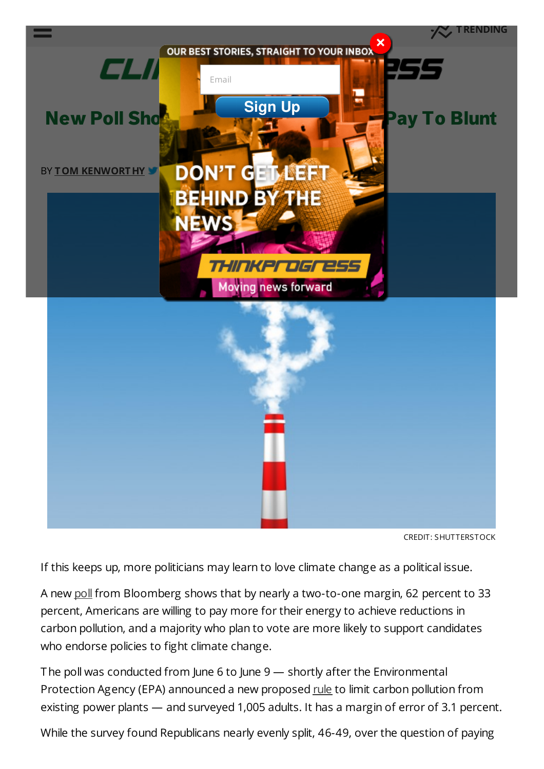<span id="page-0-0"></span>

If this keeps up, more politicians may learn to love climate change as a political issue.

A new [poll](http://www.bloomberg.com/news/2014-06-10/americans-by-2-to-1-would-pay-more-to-curb-climate-change.html) from Bloomberg shows that by nearly a two-to-one margin, 62 percent to 33 percent, Americans are willing to pay more for their energy to achieve reductions in carbon pollution, and a majority who plan to vote are more likely to support candidates who endorse policies to fight climate change.

The poll was conducted from June 6 to June 9 — shortly after the Environmental Protection Agency (EPA) announced a new proposed [rule](http://www2.epa.gov/carbon-pollution-standards) to limit carbon pollution from existing power plants — and surveyed 1,005 adults. It has a margin of error of 3.1 percent.

While the survey found Republicans nearly evenly split, 46-49, over the question of paying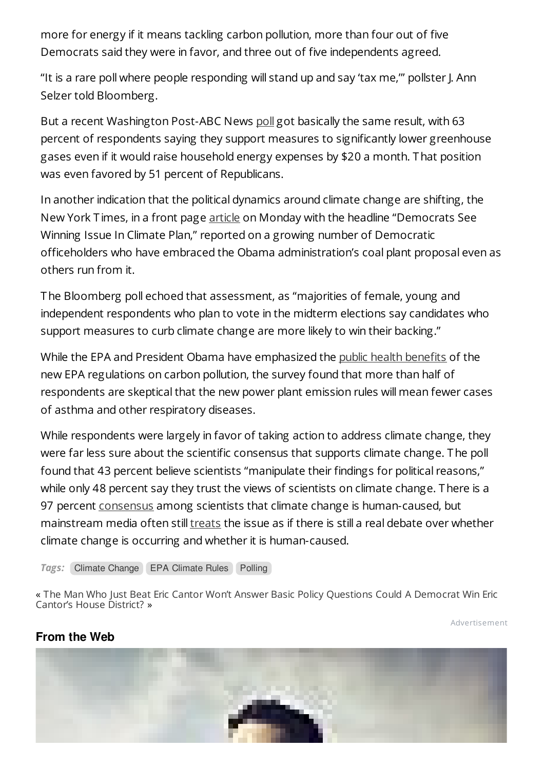more for energy if it means tackling carbon pollution, more than four out of five Democrats said they were in favor, and three out of five independents agreed.

"It is a rare poll where people responding will stand up and say 'tax me,'" pollster J. Ann Selzer told Bloomberg.

But a recent Washington Post-ABC News [poll](http://www.washingtonpost.com/blogs/the-fix/wp/2014/06/02/a-huge-majority-of-americans-support-regulating-carbon-from-power-plants-and-theyre-even-willing-to-pay-for-it/) got basically the same result, with 63 percent of respondents saying they support measures to significantly lower greenhouse gases even if it would raise household energy expenses by \$20 a month. That position was even favored by 51 percent of Republicans.

In another indication that the political dynamics around climate change are shifting, the New York T imes, in a front page [article](http://www.nytimes.com/2014/06/10/us/democrats-see-winning-issue-in-carbon-plan.html?hpw&rref=us&_r=0) on Monday with the headline "Democrats See Winning Issue In Climate Plan," reported on a growing number of Democratic officeholders who have embraced the Obama administration's coal plant proposal even as others run from it.

The Bloomberg poll echoed that assessment, as "majorities of female, young and independent respondents who plan to vote in the midterm elections say candidates who support measures to curb climate change are more likely to win their backing."

While the EPA and President Obama have emphasized the public health [benefits](http://thinkprogress.org/climate/2014/06/09/3443303/epa-pollution-health/) of the new EPA regulations on carbon pollution, the survey found that more than half of respondents are skeptical that the new power plant emission rules will mean fewer cases of asthma and other respiratory diseases.

While respondents were largely in favor of taking action to address climate change, they were far less sure about the scientific consensus that supports climate change. The poll found that 43 percent believe scientists "manipulate their findings for political reasons," while only 48 percent say they trust the views of scientists on climate change. There is a 97 percent [consensus](http://thinkprogress.org/climate/2013/05/15/2014211/study-finds-97-consensus-on-human-caused-global-warming-in-the-peer-reviewed-literature/) among scientists that climate change is human-caused, but mainstream media often still [treats](http://thinkprogress.org/climate/2014/05/22/3440206/cnn-climate-change/) the issue as if there is still a real debate over whether climate change is occurring and whether it is human-caused.

**Tags:** Climate [Change](http://thinkprogress.org/tag/climate-change/) EPA [Climate](http://thinkprogress.org/tag/epa-cimate-rules/) Rules [Polling](http://thinkprogress.org/tag/polling/)

« The Man Who Just Beat Eric Cantor Won't Answer Basic Policy [Questions](http://thinkprogress.org/election/2014/06/11/3447557/david-brat-cant-answer-basic-policy-questions-during-msnbc-interview/) Could A Democrat Win Eric Cantor's House District? »

[Advertisement](/advertise/)

### **From the Web**

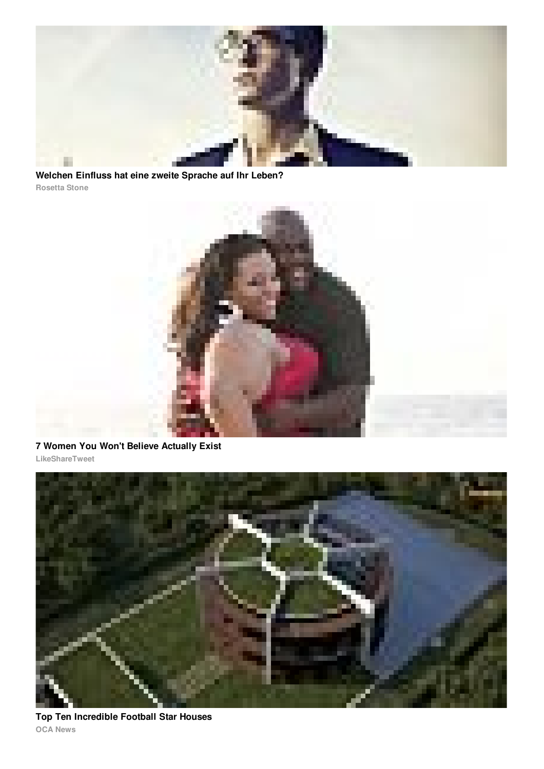

**Rosetta Stone Welchen Einfluss hat eine zweite Sprache auf Ihr Leben?**



**7 Women You Won't Believe Actually Exist**





**OCA News Top Ten Incredible Football Star Houses**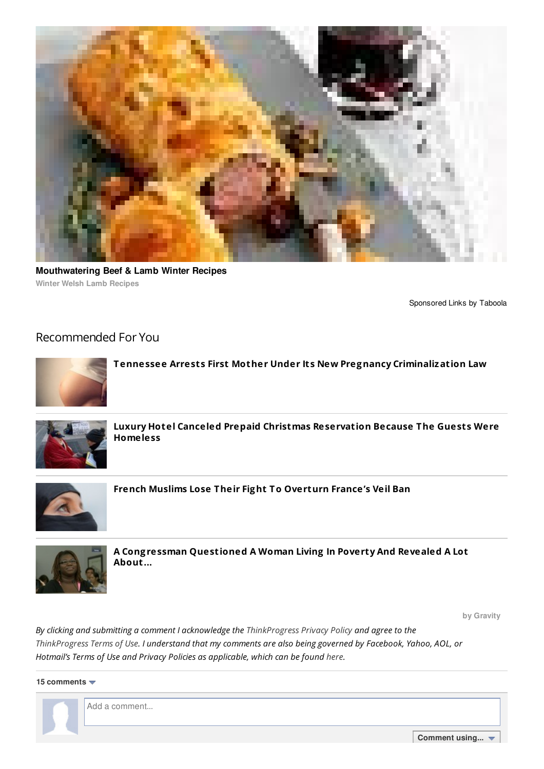

**Winter Welsh Lamb Recipes Mouthwatering Beef & Lamb Winter Recipes**

[Sponsored](//www.taboola.com/en/popup?template=colorbox&taboola_utm_source=thinkprogress&taboola_utm_medium=bytaboola&taboola_utm_content=thumbs-mobile-3r:below-main-column:) Links by [Taboola](//www.taboola.com/en/popup?template=colorbox&taboola_utm_source=thinkprogress&taboola_utm_medium=bytaboola&taboola_utm_content=thumbs-mobile-3r:below-main-column:)

#### Recommended For You



**Tennessee Arrests First Mother Under Its New Pregnancy Criminalization Law**



**Luxury Hotel Canceled Prepaid Christmas Reservation Because The Guests Were Homeless**



**French Muslims Lose Their Fight To Overturn France's Veil Ban**



**A Congressman Questioned A Woman Living In Poverty And Revealed A Lot About...**

**by Gravity**

*By clicking and submitting a comment I acknowledge the [ThinkProgress](http://www.americanprogressaction.org/about/c4-privacy-policy/) Privacy Policy and agree to the* [ThinkProgress](http://thinkprogress.org/terms/) Terms of Use. I understand that my comments are also being governed by Facebook, Yahoo, AOL, or *Hotmail's Terms of Use and Privacy Policies as applicable, which can be found [here](http://thinkprogress.org/terms/).*

**15 comments**



**Comment using...**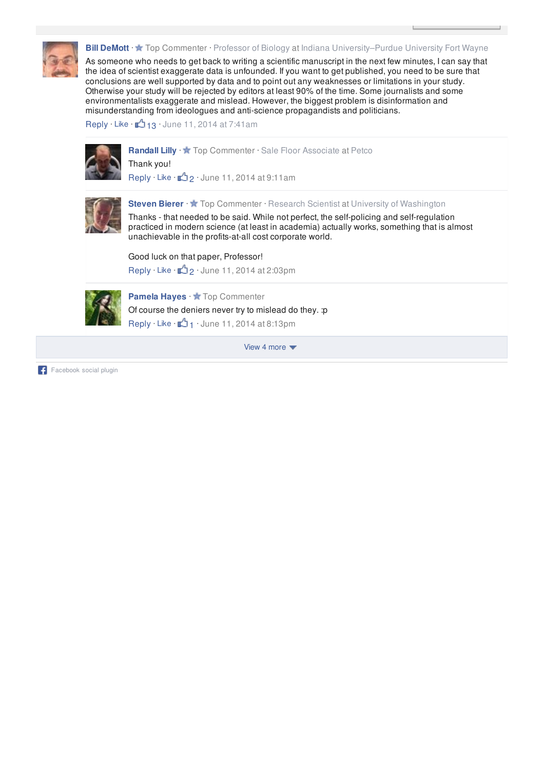

**Bill DeMott** · ★ Top Commenter · Professor of Biology at Indiana University–Purdue University Fort Wayne

As someone who needs to get back to writing a scientific manuscript in the next few minutes, I can say that the idea of scientist exaggerate data is unfounded. If you want to get published, you need to be sure that conclusions are well supported by data and to point out any weaknesses or limitations in your study. Otherwise your study will be rejected by editors at least 90% of the time. Some journalists and some environmentalists exaggerate and mislead. However, the biggest problem is disinformation and misunderstanding from ideologues and anti-science propagandists and politicians.

Reply  $\cdot$  Like  $\cdot$   $\mathbb{L}$  13  $\cdot$  June 11, 2014 at 7:41am



Randall Lilly · **\*** Top Commenter · Sale Floor Associate at Petco Thank you! Reply · Like ·  $\sqrt{2}$  2 · June 11, 2014 at 9:11am



**Steven Bierer** · **\*** Top Commenter · Research Scientist at University of Washington

Thanks - that needed to be said. While not perfect, the self-policing and self-regulation practiced in modern science (at least in academia) actually works, something that is almost unachievable in the profits-at-all cost corporate world.

Good luck on that paper, Professor!

Reply  $\cdot$  Like  $\cdot$   $\uparrow$  2 $\cdot$  June 11, 2014 at 2:03pm



**Pamela Hayes** ·  $\bigstar$  Top Commenter Of course the deniers never try to mislead do they. :p Reply  $\cdot$  Like  $\cdot$   $\uparrow$  1  $\cdot$  June 11, 2014 at 8:13pm

View 4 more  $\blacktriangledown$ 

Facebook social plugin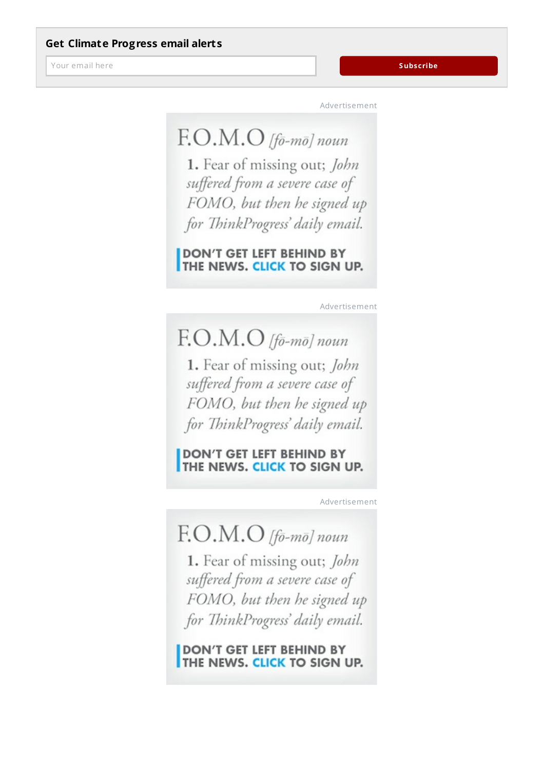Your email here

[Advertisement](/advertise/)

# F.O.M.O [fō-mō] noun

1. Fear of missing out; John suffered from a severe case of FOMO, but then he signed up for ThinkProgress' daily email.

DON'T GET LEFT BEHIND BY THE NEWS. CLICK TO SIGN UP.

[Advertisement](/advertise/)

## $F. O.M.O$  [fō-mō] noun

1. Fear of missing out; John suffered from a severe case of FOMO, but then he signed up for ThinkProgress' daily email.

**DON'T GET LEFT BEHIND BY** THE NEWS. CLICK TO SIGN UP.

[Advertisement](/advertise/)

## $F. O.M.O$  [fō-mō] noun

1. Fear of missing out; John suffered from a severe case of FOMO, but then he signed up for ThinkProgress' daily email.

**DON'T GET LEFT BEHIND BY THE NEWS. CLICK TO SIGN UP.**